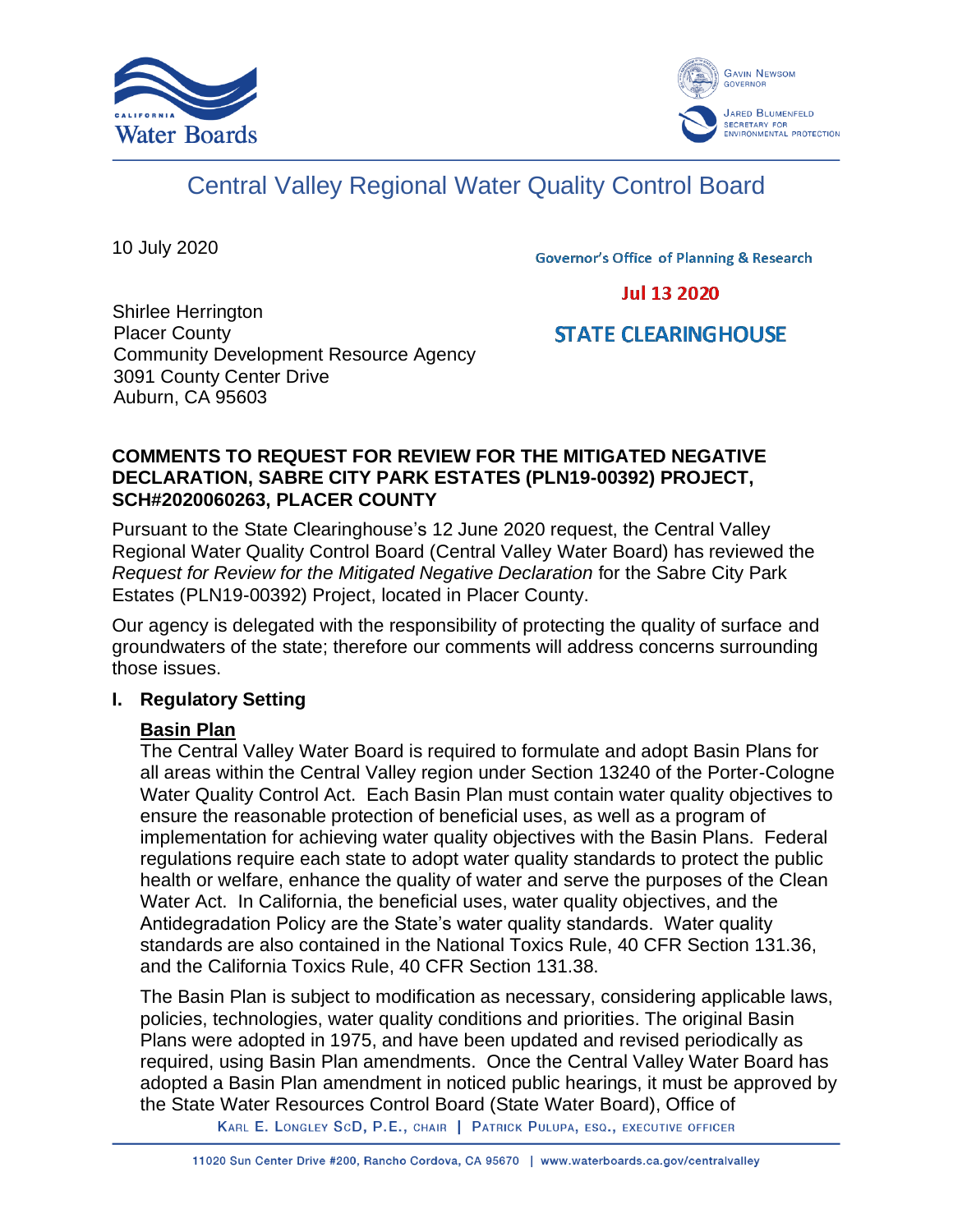



## Central Valley Regional Water Quality Control Board

10 July 2020

**Governor's Office of Planning & Research** 

**Jul 13 2020** 

# **STATE CLEARINGHOUSE**

Shirlee Herrington Placer County Community Development Resource Agency 3091 County Center Drive Auburn, CA 95603

#### **COMMENTS TO REQUEST FOR REVIEW FOR THE MITIGATED NEGATIVE DECLARATION, SABRE CITY PARK ESTATES (PLN19-00392) PROJECT, SCH#2020060263, PLACER COUNTY**

Pursuant to the State Clearinghouse's 12 June 2020 request, the Central Valley Regional Water Quality Control Board (Central Valley Water Board) has reviewed the *Request for Review for the Mitigated Negative Declaration* for the Sabre City Park Estates (PLN19-00392) Project, located in Placer County.

Our agency is delegated with the responsibility of protecting the quality of surface and groundwaters of the state; therefore our comments will address concerns surrounding those issues.

## **I. Regulatory Setting**

## **Basin Plan**

The Central Valley Water Board is required to formulate and adopt Basin Plans for all areas within the Central Valley region under Section 13240 of the Porter-Cologne Water Quality Control Act. Each Basin Plan must contain water quality objectives to ensure the reasonable protection of beneficial uses, as well as a program of implementation for achieving water quality objectives with the Basin Plans. Federal regulations require each state to adopt water quality standards to protect the public health or welfare, enhance the quality of water and serve the purposes of the Clean Water Act. In California, the beneficial uses, water quality objectives, and the Antidegradation Policy are the State's water quality standards. Water quality standards are also contained in the National Toxics Rule, 40 CFR Section 131.36, and the California Toxics Rule, 40 CFR Section 131.38.

The Basin Plan is subject to modification as necessary, considering applicable laws, policies, technologies, water quality conditions and priorities. The original Basin Plans were adopted in 1975, and have been updated and revised periodically as required, using Basin Plan amendments. Once the Central Valley Water Board has adopted a Basin Plan amendment in noticed public hearings, it must be approved by the State Water Resources Control Board (State Water Board), Office of

KARL E. LONGLEY SCD, P.E., CHAIR | PATRICK PULUPA, ESQ., EXECUTIVE OFFICER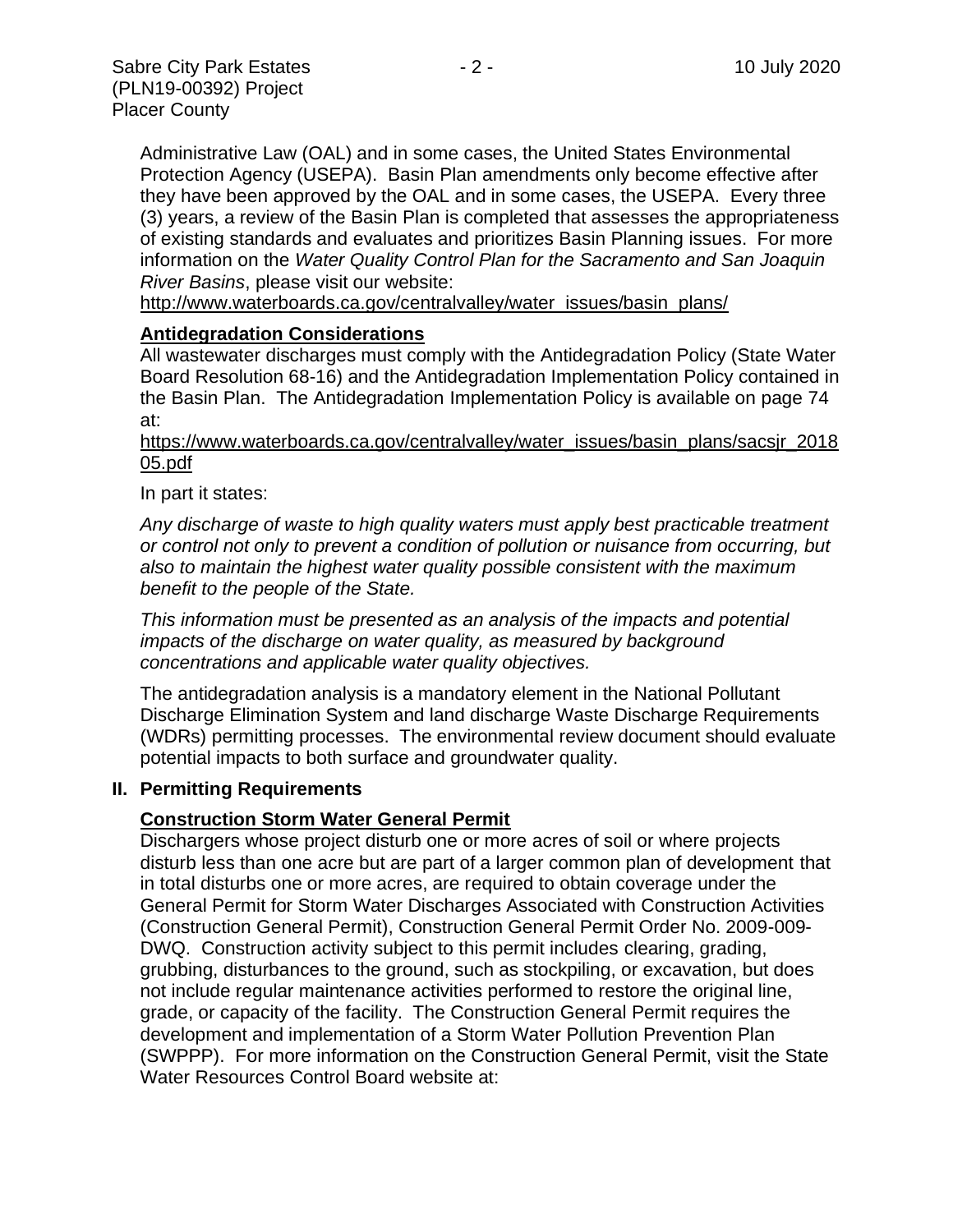Administrative Law (OAL) and in some cases, the United States Environmental Protection Agency (USEPA). Basin Plan amendments only become effective after they have been approved by the OAL and in some cases, the USEPA. Every three (3) years, a review of the Basin Plan is completed that assesses the appropriateness of existing standards and evaluates and prioritizes Basin Planning issues. For more information on the *Water Quality Control Plan for the Sacramento and San Joaquin River Basins*, please visit our website:

[http://www.waterboards.ca.gov/centralvalley/water\\_issues/basin\\_plans/](http://www.waterboards.ca.gov/centralvalley/water_issues/basin_plans/)

#### **Antidegradation Considerations**

All wastewater discharges must comply with the Antidegradation Policy (State Water Board Resolution 68-16) and the Antidegradation Implementation Policy contained in the Basin Plan. The Antidegradation Implementation Policy is available on page 74 at:

#### https://www.waterboards.ca.gov/centralvalley/water\_issues/basin\_plans/sacsjr\_2018 05.pdf

#### In part it states:

*Any discharge of waste to high quality waters must apply best practicable treatment or control not only to prevent a condition of pollution or nuisance from occurring, but also to maintain the highest water quality possible consistent with the maximum benefit to the people of the State.*

*This information must be presented as an analysis of the impacts and potential impacts of the discharge on water quality, as measured by background concentrations and applicable water quality objectives.*

The antidegradation analysis is a mandatory element in the National Pollutant Discharge Elimination System and land discharge Waste Discharge Requirements (WDRs) permitting processes. The environmental review document should evaluate potential impacts to both surface and groundwater quality.

#### **II. Permitting Requirements**

#### **Construction Storm Water General Permit**

Dischargers whose project disturb one or more acres of soil or where projects disturb less than one acre but are part of a larger common plan of development that in total disturbs one or more acres, are required to obtain coverage under the General Permit for Storm Water Discharges Associated with Construction Activities (Construction General Permit), Construction General Permit Order No. 2009-009- DWQ. Construction activity subject to this permit includes clearing, grading, grubbing, disturbances to the ground, such as stockpiling, or excavation, but does not include regular maintenance activities performed to restore the original line, grade, or capacity of the facility. The Construction General Permit requires the development and implementation of a Storm Water Pollution Prevention Plan (SWPPP). For more information on the Construction General Permit, visit the State Water Resources Control Board website at: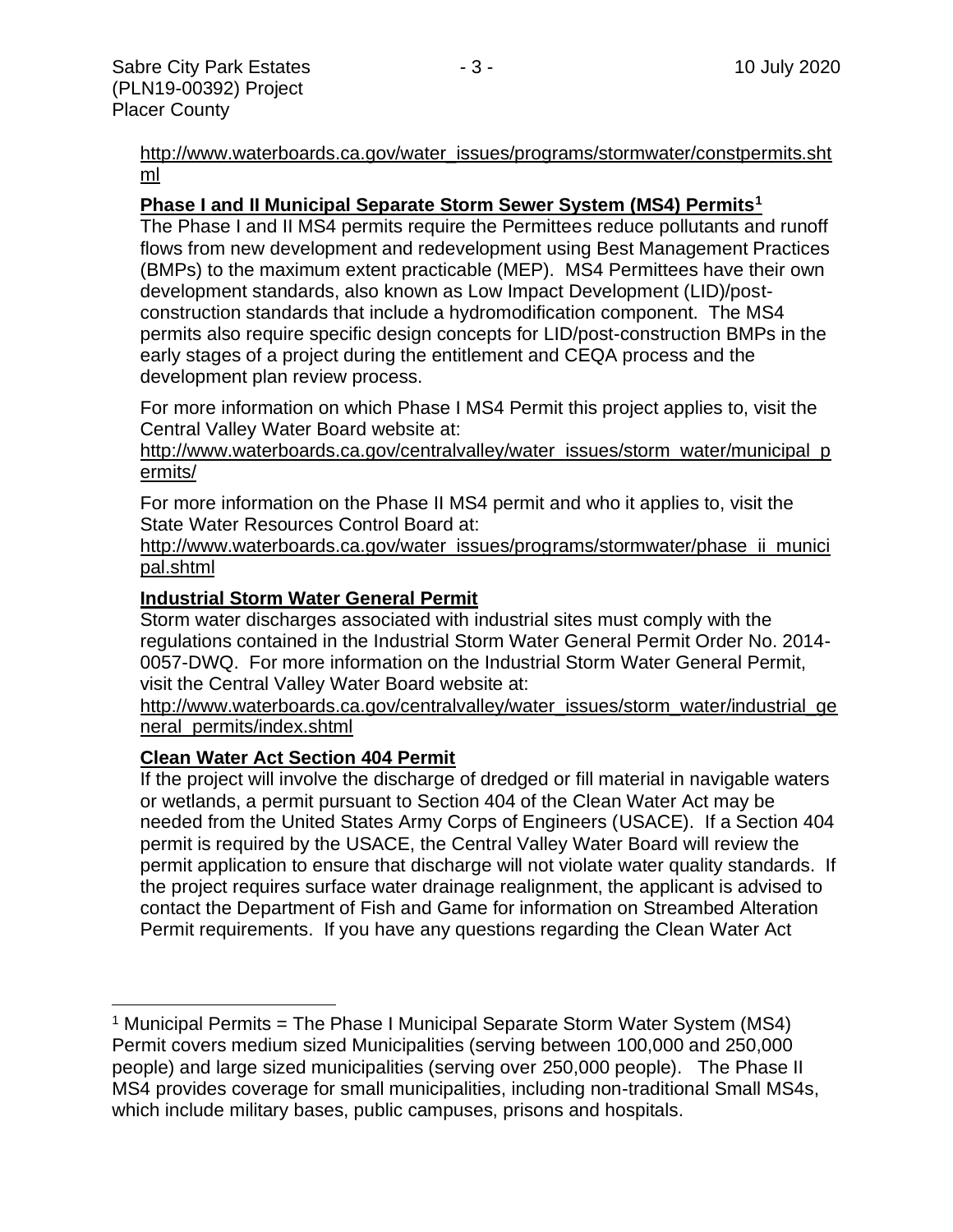[http://www.waterboards.ca.gov/water\\_issues/programs/stormwater/constpermits.sht](http://www.waterboards.ca.gov/water_issues/programs/stormwater/constpermits.shtml) [ml](http://www.waterboards.ca.gov/water_issues/programs/stormwater/constpermits.shtml)

#### **Phase I and II Municipal Separate Storm Sewer System (MS4) Permits<sup>1</sup>**

The Phase I and II MS4 permits require the Permittees reduce pollutants and runoff flows from new development and redevelopment using Best Management Practices (BMPs) to the maximum extent practicable (MEP). MS4 Permittees have their own development standards, also known as Low Impact Development (LID)/postconstruction standards that include a hydromodification component. The MS4 permits also require specific design concepts for LID/post-construction BMPs in the early stages of a project during the entitlement and CEQA process and the development plan review process.

For more information on which Phase I MS4 Permit this project applies to, visit the Central Valley Water Board website at:

http://www.waterboards.ca.gov/centralvalley/water\_issues/storm\_water/municipal\_p ermits/

For more information on the Phase II MS4 permit and who it applies to, visit the State Water Resources Control Board at:

http://www.waterboards.ca.gov/water\_issues/programs/stormwater/phase\_ii\_munici pal.shtml

#### **Industrial Storm Water General Permit**

Storm water discharges associated with industrial sites must comply with the regulations contained in the Industrial Storm Water General Permit Order No. 2014- 0057-DWQ. For more information on the Industrial Storm Water General Permit, visit the Central Valley Water Board website at:

http://www.waterboards.ca.gov/centralvalley/water\_issues/storm\_water/industrial\_ge neral\_permits/index.shtml

#### **Clean Water Act Section 404 Permit**

If the project will involve the discharge of dredged or fill material in navigable waters or wetlands, a permit pursuant to Section 404 of the Clean Water Act may be needed from the United States Army Corps of Engineers (USACE). If a Section 404 permit is required by the USACE, the Central Valley Water Board will review the permit application to ensure that discharge will not violate water quality standards. If the project requires surface water drainage realignment, the applicant is advised to contact the Department of Fish and Game for information on Streambed Alteration Permit requirements. If you have any questions regarding the Clean Water Act

<sup>&</sup>lt;sup>1</sup> Municipal Permits = The Phase I Municipal Separate Storm Water System (MS4) Permit covers medium sized Municipalities (serving between 100,000 and 250,000 people) and large sized municipalities (serving over 250,000 people). The Phase II MS4 provides coverage for small municipalities, including non-traditional Small MS4s, which include military bases, public campuses, prisons and hospitals.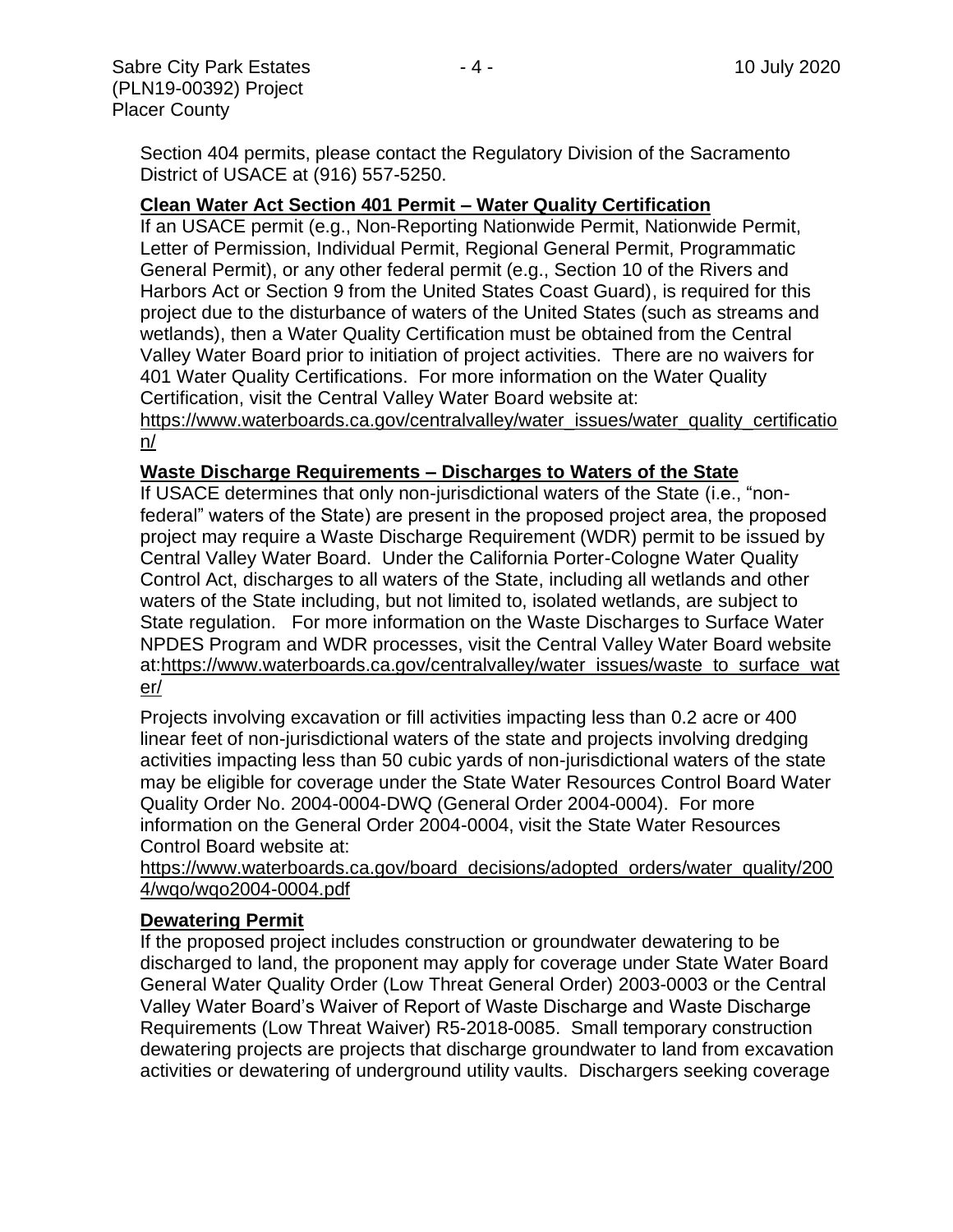Section 404 permits, please contact the Regulatory Division of the Sacramento District of USACE at (916) 557-5250.

#### **Clean Water Act Section 401 Permit – Water Quality Certification**

If an USACE permit (e.g., Non-Reporting Nationwide Permit, Nationwide Permit, Letter of Permission, Individual Permit, Regional General Permit, Programmatic General Permit), or any other federal permit (e.g., Section 10 of the Rivers and Harbors Act or Section 9 from the United States Coast Guard), is required for this project due to the disturbance of waters of the United States (such as streams and wetlands), then a Water Quality Certification must be obtained from the Central Valley Water Board prior to initiation of project activities. There are no waivers for 401 Water Quality Certifications. For more information on the Water Quality Certification, visit the Central Valley Water Board website at:

https://www.waterboards.ca.gov/centralvalley/water\_issues/water\_quality\_certificatio n/

#### **Waste Discharge Requirements – Discharges to Waters of the State**

If USACE determines that only non-jurisdictional waters of the State (i.e., "nonfederal" waters of the State) are present in the proposed project area, the proposed project may require a Waste Discharge Requirement (WDR) permit to be issued by Central Valley Water Board. Under the California Porter-Cologne Water Quality Control Act, discharges to all waters of the State, including all wetlands and other waters of the State including, but not limited to, isolated wetlands, are subject to State regulation. For more information on the Waste Discharges to Surface Water NPDES Program and WDR processes, visit the Central Valley Water Board website at:https://www.waterboards.ca.gov/centralvalley/water\_issues/waste\_to\_surface\_wat er/

Projects involving excavation or fill activities impacting less than 0.2 acre or 400 linear feet of non-jurisdictional waters of the state and projects involving dredging activities impacting less than 50 cubic yards of non-jurisdictional waters of the state may be eligible for coverage under the State Water Resources Control Board Water Quality Order No. 2004-0004-DWQ (General Order 2004-0004). For more information on the General Order 2004-0004, visit the State Water Resources Control Board website at:

https://www.waterboards.ca.gov/board\_decisions/adopted\_orders/water\_quality/200 4/wqo/wqo2004-0004.pdf

#### **Dewatering Permit**

If the proposed project includes construction or groundwater dewatering to be discharged to land, the proponent may apply for coverage under State Water Board General Water Quality Order (Low Threat General Order) 2003-0003 or the Central Valley Water Board's Waiver of Report of Waste Discharge and Waste Discharge Requirements (Low Threat Waiver) R5-2018-0085. Small temporary construction dewatering projects are projects that discharge groundwater to land from excavation activities or dewatering of underground utility vaults. Dischargers seeking coverage